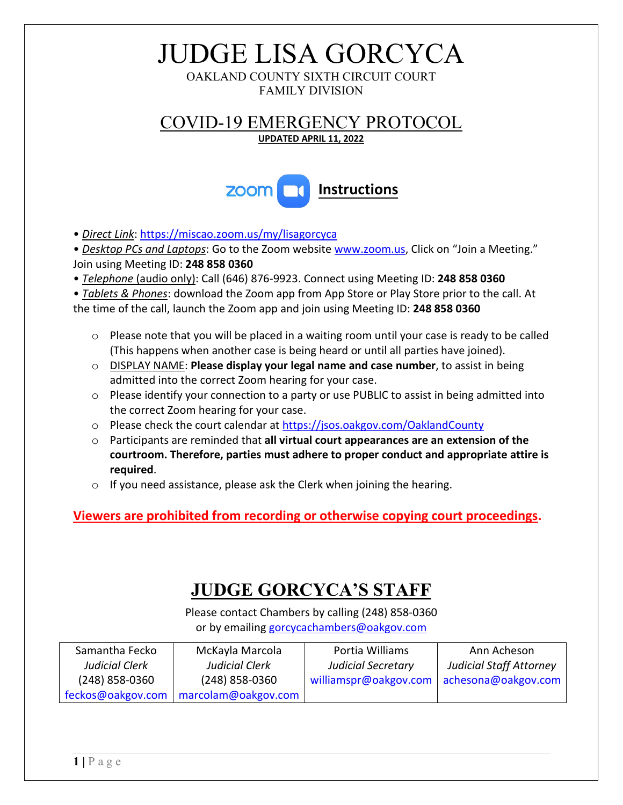# JUDGE LISA GORCYCA

OAKLAND COUNTY SIXTH CIRCUIT COURT FAMILY DIVISION

COVID-19 EMERGENCY PROTOCOL

#### **UPDATED APRIL 11, 2022**



• *Direct Link*[: https://miscao.zoom.us/my/lisagorcyca](https://miscao.zoom.us/my/lisagorcyca)

• *Desktop PCs and Laptops*: Go to the Zoom websit[e www.zoom.us,](https://zoom.us/) Click on "Join a Meeting." Join using Meeting ID: **248 858 0360**

• *Telephone* (audio only): Call (646) 876-9923. Connect using Meeting ID: **248 858 0360**

• *Tablets & Phones*: download the Zoom app from App Store or Play Store prior to the call. At the time of the call, launch the Zoom app and join using Meeting ID: **248 858 0360**

- $\circ$  Please note that you will be placed in a waiting room until your case is ready to be called (This happens when another case is being heard or until all parties have joined).
- o DISPLAY NAME: **Please display your legal name and case number**, to assist in being admitted into the correct Zoom hearing for your case.
- $\circ$  Please identify your connection to a party or use PUBLIC to assist in being admitted into the correct Zoom hearing for your case.
- o Please check the court calendar at<https://jsos.oakgov.com/OaklandCounty>
- o Participants are reminded that **all virtual court appearances are an extension of the courtroom. Therefore, parties must adhere to proper conduct and appropriate attire is required**.
- o If you need assistance, please ask the Clerk when joining the hearing.

#### **Viewers are prohibited from recording or otherwise copying court proceedings.**

### **JUDGE GORCYCA'S STAFF**

Please contact Chambers by calling (248) 858-0360 or by emailing [gorcycachambers@oakgov.com](mailto:gorcycachambers@oakgov.com)

| Samantha Fecko    | McKayla Marcola     | Portia Williams           | Ann Acheson                    |
|-------------------|---------------------|---------------------------|--------------------------------|
| Judicial Clerk    | Judicial Clerk      | <b>Judicial Secretary</b> | <b>Judicial Staff Attorney</b> |
| $(248)$ 858-0360  | $(248)$ 858-0360    | williamspr@oakgov.com     | achesona@oakgov.com            |
| feckos@oakgov.com | marcolam@oakgov.com |                           |                                |